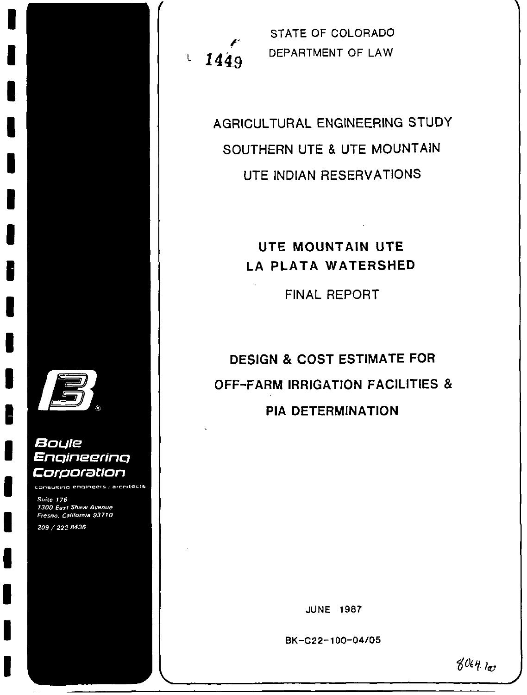

### Boule Engineering Corporation

consulting engineers ; architects

Suite 176 1300 East Shaw Avenue Fresno, California 93710 209 / 222-8436

1449  $\mathsf L$ 

STATE OF COLORADO DEPARTMENT OF LAW

AGRICULTURAL ENGINEERING STUDY SOUTHERN UTE & UTE MOUNTAIN UTE INDIAN RESERVATIONS

## UTE MOUNTAIN UTE LA PLATA WATERSHED

FINAL REPORT

**DESIGN & COST ESTIMATE FOR OFF-FARM IRRIGATION FACILITIES & PIA DETERMINATION** 

**JUNE 1987** 

BK-C22-100-04/05

 $8064.100$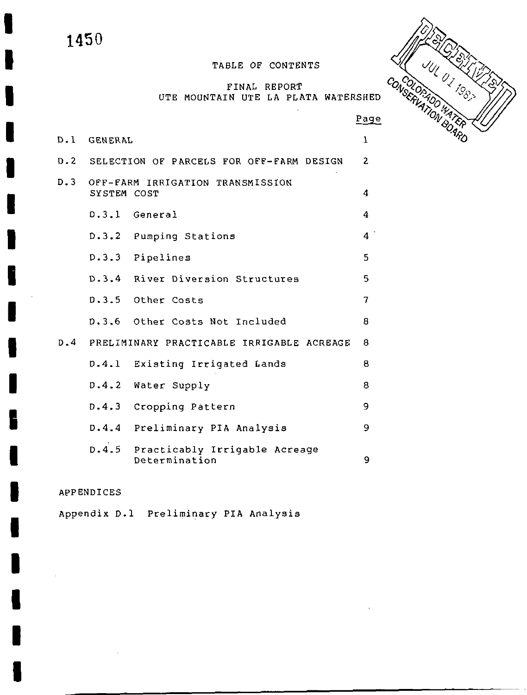I

I

I

I

I

I

I

I

I

I

I

I

I

I

I

I

I

I

I

### TABLE OF CONTENTS

### FINAL REPORT UTE MOUNTAIN UTE LA PLATA WATERSHED



|     |             |                                                      | Pago         |
|-----|-------------|------------------------------------------------------|--------------|
|     | D.1 GENERAL |                                                      | ı            |
|     |             | D.2 SELECTION OF PARCELS FOR OFF-FARM DESIGN         | $\mathbf{2}$ |
| D.3 | SYSTEM COST | OFF-FARM IRRIGATION TRANSMISSION                     | 4            |
|     |             | D.3.1 General                                        | 4            |
|     |             | D.3.2 Pumping Stations                               | 4            |
|     |             | D.3.3 Pipelines                                      | 5            |
|     |             | D.3.4 River Diversion Structures                     | 5            |
|     |             | D.3.5 Other Costs                                    | 7            |
|     |             | D.3.6 Other Costs Not Included                       | 8            |
| D.4 |             | PRELIMINARY PRACTICABLE IRRIGABLE ACREAGE            | 8            |
|     |             | D.4.1 Existing Irrigated Lands                       | 8            |
|     |             | D.4.2 Water Supply                                   | 8            |
|     |             | D.4.3 Cropping Pattern                               | 9            |
|     |             | D.4.4 Preliminary PIA Analysis                       | 9            |
|     |             | D.4.5 Practicably Irrigable Acreage<br>Determination | 9            |

### APPENDICES

Appendix D.1 Preliminary PIA Analysis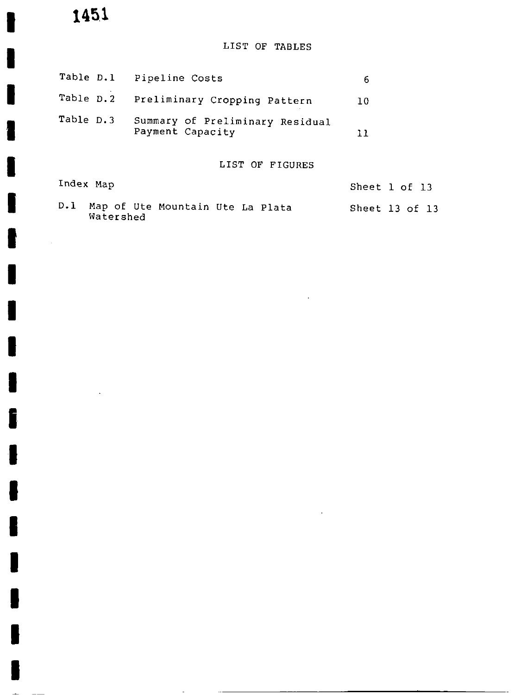I

I

I

I

I

I

I

 $\sim 10$ 

I

I

I

I

I

I

I

I

I

I

I

I

 $\sim$ 

### LIST OF TABLES

|           |           | Table D.1 Pipeline Costs                            | 6  |                |
|-----------|-----------|-----------------------------------------------------|----|----------------|
| Table D.2 |           | Preliminary Cropping Pattern                        | 10 |                |
| Table D.3 |           | Summary of Preliminary Residual<br>Payment Capacity | 11 |                |
|           |           | LIST OF FIGURES                                     |    |                |
| Index Map |           |                                                     |    | Sheet 1 of 13  |
| D.1       | Watershed | Map of Ute Mountain Ute La Plata                    |    | Sheet 13 of 13 |

 $\mathcal{O}(10^{-10})$  . The second state  $\mathcal{O}(10^{-10})$ 

 $\bar{z}$ 

 $\cdot$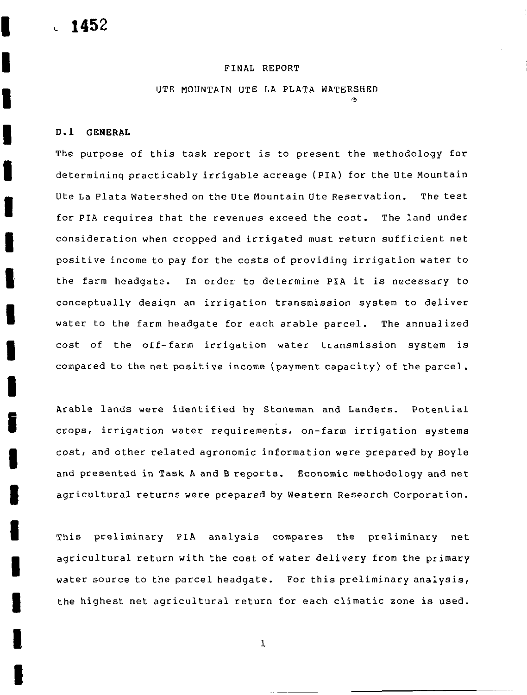I

I

I

I

I

I

I

I

I

I

I

I

I

I

I

I

I

I

I

### FINAL REPORT

UTE MOUNTAIN UTE LA PLATA WATERSHED

### 0 1 GENERAL

The purpose of this task report is to present the methodology for determining practicably irrigable acreage (PIA) for the Ute Mountain Ute La Plata Watershed on the Ute Mountain Ute Reservation. The test for PIA requires that the revenues exceed the cost. The land under consideration when cropped and irrigated must return sufficient net positive income to pay for the costs of providing irrigation water to the farm headgate. In order to determine PIA it is necessary to conceptually design an irrigation transmission system to deliver water to the farm headgate for each arable parcel. The annualized cost of the off-farm irrigation water transmission system is compared to the net positive income (payment capacity) of the parcel.

Arable lands were identified by Stoneman and Landers. Potential crops, irrigation water requirements, on-farm irrigation systems cost, and other related agronomic information were prepared by Boyle and presented in Task A and B reports. Economic methodology and net agricultural returns were prepared by Western Research Corporation

This preliminary PIA analysis compares the preliminary net agricultural return with the cost of water delivery from the primary water source to the parcel headgate. For this preliminary analysis, the highest net agricultural return for each climatic zone is used

I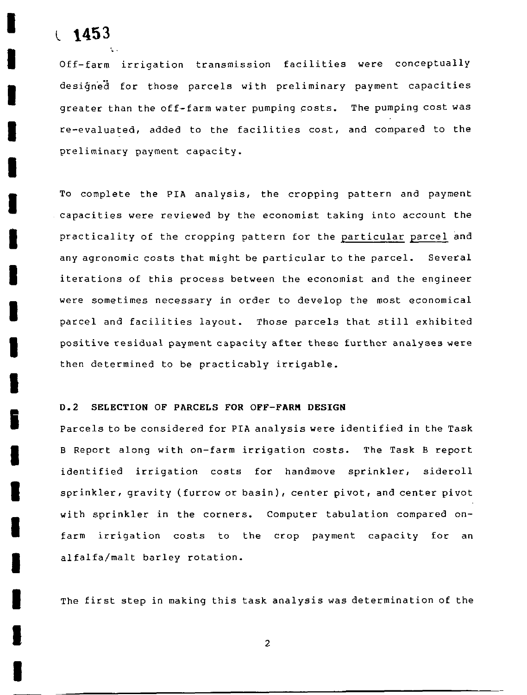# l 1453

I

I

I

I

I

I

I

I

I

I

I

l

I

I

I

I

I

I

I

Off-farm irrigation transmission facilities were conceptually desiĝned for those parcels with preliminary payment capacities greater than the  $\verb|off-farm water\> pumping\; costs.$  The pumping  $\verb|cost was|$ re-evaluated, added to the facilities cost, and compared to the preliminary payment capacity

To complete the PIA analysis, the cropping pattern and payment capacities were reviewed by the economist taking into account the practicality of the cropping pattern for the particular parcel and any agronomic costs that might be particular to the parcel. Several iterations of this process between the economist and the engineer were sometimes necessary in order to develop the most economical parcel and facilities layout. Those parcels that still exhibited positive residual payment capacity after these further analyses were then determined to be practicably irrigable

### D.2 SELECTION OF PARCELS FOR OFF-FARM DESIGN

Parcels to be considered for PIA analysis were identified in the Task B Report along with on-farm irrigation costs. The Task B report identified irrigation costs for handmove sprinkler, sideroll sprinkler, gravity (furrow or basin), center pivot, and center pivot with sprinkler in the corners. Computer tabulation compared onfarm irrigation costs to the crop payment capacity for an alfalfa/malt barley rotation.

The first step in making this task analysis was determination of the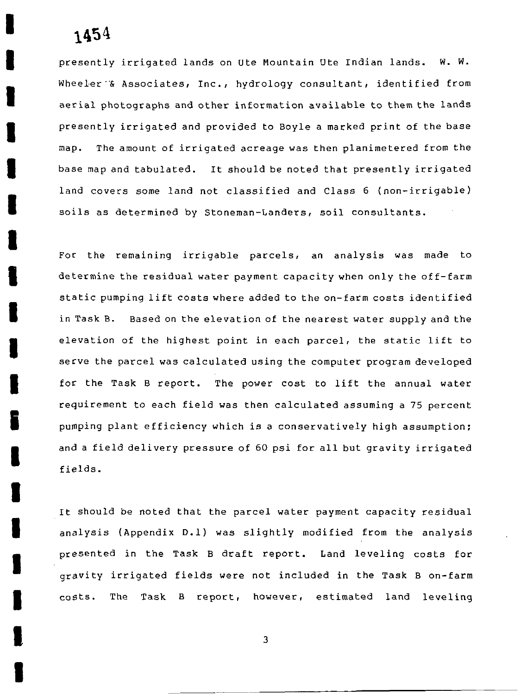I

I

I

I

I

I

I

I

I

I

I

i

I

I

I

I

I

I

I

presently irrigated lands on Ute Mountain Ute Indian lands. <mark>W. W</mark> Wheeler & Associates, Inc., hydrology consultant, identified from aerial photographs and other information available to them the lands presently irrigated and provided to Boyle <sup>a</sup> marked <sup>p</sup> int of the base map. The amount of irrigated acreage was then planimetered from the base map and tabulated. It should be noted that presently irrigated land covers some land not classified and Class 6 (non-irrigable) soils as determined by Stoneman-Landers, soil consultants.

For the remaining irrigable parcels, an analysis was made to determine the residual water payment capacity when only the off-farm static pumping lift costs where added to the on-farm costs identified in Task B. Based on the elevation of the nearest water supply and the elevation of the highest point in each parcel, the static lift to serve the parcel was calculated using the computer program developed for the Task B report. The power cost to lift the annual water requirement to each field was then calculated assuming <sup>a</sup> <sup>75</sup> percent pumping plant efficiency which is <sup>a</sup> conservatively high assumption and a field delivery pressure of 60 psi for all but gravity irrigated fields

It should be noted that the parcel water payment capacity esidual analysis (Appendix D.1) was slightly modified from the analysis presented in the Task B draft report. Land leveling costs for gravity irrigated fields were not included in the Task B on-farm costs. The Task B report, however, estimated land leveling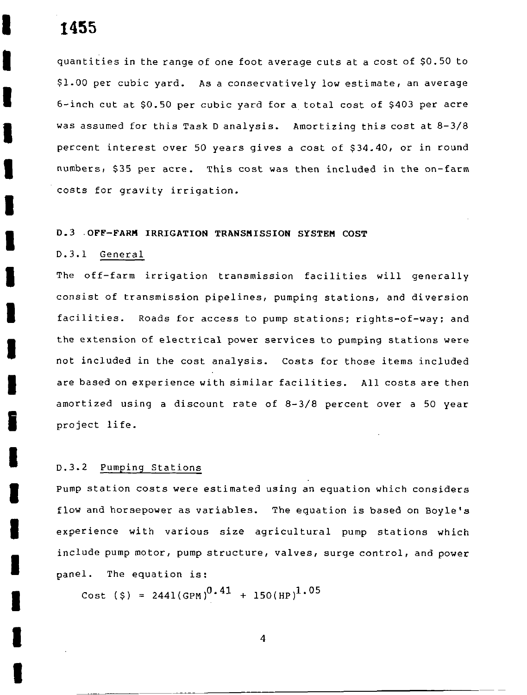I

I

I

I

I

I

I

I

I

I

I

I

I

I

I

I

I

I

I

quantities in the range of one foot average cuts at <sup>a</sup> cost of SO <sup>50</sup> to \$1.00 per cubic yard. As a conservatively low estimate, an average 6-inch cut at \$0.50 per cubic yard for a total cost of \$403 per acre was assumed for this Task D analysis. Amortizing this cost at  $8-3/8$ percent interest over 50 years gives a cost of \$34.40, or in round numbers, \$35 per acre. This cost was then included in the on-farm costs for gravity irrigation

### 0 3 OFF FARM IRRIGATION TRANSMISSION SYSTEM COST

### D.3.1 General

The off-farm irrigation transmission facilities will generally consist of transmission pipelines, pumping stations, and diversion facilities. Roads for access to pump stations; rights-of-way; and the extension of electrical power services to pumping stations were not included in the cost analysis. Costs for those items included are based on experience with similar facilities. All costs are then amortized using a discount rate of  $8-3/8$  percent over a 50 year project life

### D.3.2 Pumping Stations

Pump station costs were estimated using an equation which considers flow and horsepower as variables. The equation is based on Boyle's experience with various size agricultural pump stations which include pump motor, pump structure, valves, surge control, and power panel. The equation is:

 $\texttt{Cost ($)} = 2441 {\rm (GPM)}^{\textbf{0.41}} + 150 {\rm (HP)}^{\textbf{1.05}}$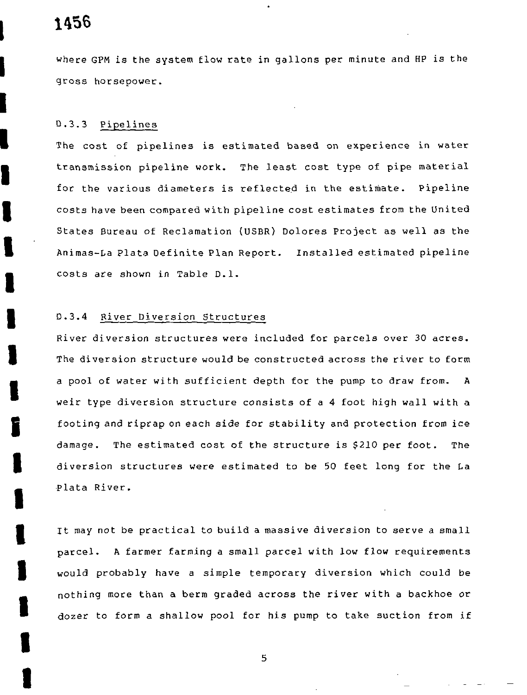l

I

I

I

I

I

I

I

I

I

I

I

I

I

I

I

I

I

I

where GPM is the system flow rate in gallons per minute and HP is the gross horsepower

### D.3.3 Pipelines

The cost of pipelines is estimated based on experience in water transmission pipeline work The least cost type of pipe material for the various diameters is reflected in the estimate. Pipeline costs have been compared with pipeline cost estimates from the United States Bureau of Reclamation (USBR) Dolores Project as well as the Animas-La Plata Definite Plan Report. Installed estimated pipeline costs are shown in Table D.1.

### <sup>0</sup> <sup>3</sup> <sup>4</sup> River Diversion Structures

River diversion structures were included for parcels over <sup>30</sup> acreS The diversion structure would be constructed across the river to form a pool of water with sufficient depth for the pump to draw from. A weir type diversion structure consists of <sup>a</sup> <sup>4</sup> foot high wall with <sup>a</sup> footing and riprap on each side for stability and protection from ice damage. The estimated cost of the structure is \$210 per foot. The diversion structures were estimated to be <sup>50</sup> feet long for the La Plata River

It may not be practical to build <sup>a</sup> massive diversion to serve <sup>a</sup> small parcel <sup>A</sup> farmer farming <sup>a</sup> small parcel with low flow requirements would probably have <sup>a</sup> simple temporary diversion which could be nothing more than <sup>a</sup> berm graded across the river with <sup>a</sup> backhoe or dozer to form <sup>a</sup> shallow pool for his pump to take suction from if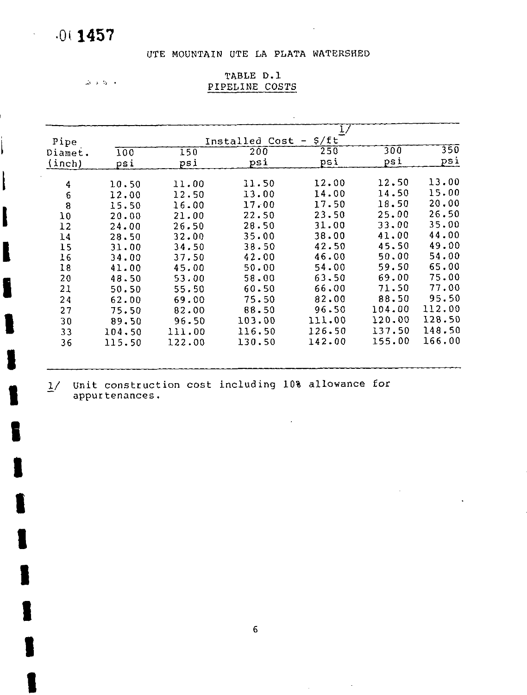# Oi 1457

 $\mathcal{L}$ 

I

ļ

I

I

I

I

I

I

I

I

I

I

I

I

I

I

### UTE MOUNTAIN UTE LA PLATA WATERSHED

 $\cdot$ 

 $\Delta$  0.0  $\%$   $\rightarrow$ 

| TABLE D.1      |  |
|----------------|--|
| PIPELINE COSTS |  |

|        |                                                                      |                                                    | $_{1/}$                          |                               |        |
|--------|----------------------------------------------------------------------|----------------------------------------------------|----------------------------------|-------------------------------|--------|
|        |                                                                      |                                                    | $\overline{\phantom{m}}$         |                               |        |
| 100    | 150                                                                  | 200                                                |                                  |                               | 350    |
| psi    | psi                                                                  | psi                                                | psi                              | psi                           | psi    |
|        |                                                                      | 11.50                                              | 12.00                            | 12.50                         | 13.00  |
|        |                                                                      |                                                    | 14.00                            | 14.50                         | 15.00  |
|        |                                                                      |                                                    | 17.50                            | 18.50                         | 20.00  |
|        |                                                                      |                                                    | 23.50                            | 25.00                         | 26.50  |
|        |                                                                      |                                                    | 31.00                            | 33,00                         | 35.00  |
|        |                                                                      | 35.00                                              | 38.00                            | 41.00                         | 44.00  |
|        | 34.50                                                                | 38.50                                              | 42.50                            | 45.50                         | 49.00  |
| 34.00  | 37.50                                                                | 42.00                                              | 46.00                            | 50.00                         | 54.00  |
| 41.00  | 45.00                                                                | 50.00                                              | 54.00                            | 59.50                         | 65.00  |
| 48.50  | 53.00                                                                | 58.00                                              | 63.50                            | 69.00                         | 75.00  |
| 50.50  | 55.50                                                                | 60.50                                              | 66,00                            | 71.50                         | 77.00  |
| 62.00  | 69.00                                                                | 75.50                                              | 82.00                            | 88.50                         | 95.50  |
|        | 82.00                                                                | 88.50                                              | 96.50                            | 104.00                        | 112.00 |
| 89.50  | 96.50                                                                | 103.00                                             | 111.00                           | 120.00                        | 128.50 |
| 104.50 | 111.00                                                               | 116.50                                             | 126.50                           | 137.50                        | 148.50 |
| 115.50 | 122.00                                                               | 130.50                                             | 142.00                           | 155.00                        | 166.00 |
|        | 10.50<br>12.00<br>15.50<br>20.00<br>24.00<br>28.50<br>31.00<br>75.50 | 11.00<br>12.50<br>16.00<br>21.00<br>26.50<br>32.00 | 13.00<br>17.00<br>22.50<br>26.50 | S/ft<br>Installed Cost<br>250 | 300    |

 $\hat{\mathbf{r}}$ 

 $\sim$ 

 $\sim$   $\sim$ 

 $\sim$ 

 $\hat{\mathbf{z}}$ 

1/ Unit construction cost including 10% allowance for<br>appurtenances. appurtenances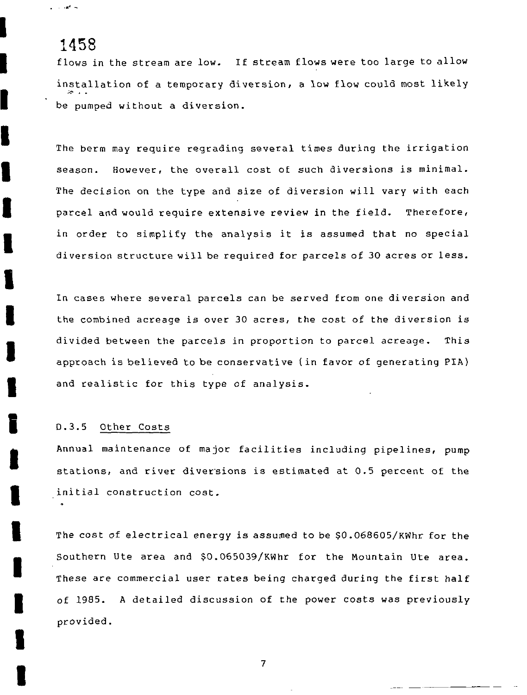range of the

I

I

I

I

I

I

I

I

I

I

I

i

I

I

I

I

I

I

I

flows in the stream are low. If stream flows were too large to allow installation of <sup>a</sup> temporary diversion <sup>a</sup> low flow could most likely be pumped without <sup>a</sup> diversion

The berm may require regrading several times during the irrigation season. However, the overall cost of such diversions is minimal. The decision on the type and size of diversion will vary with each parcel and would require extensive review in the field. Therefore, in order to simplify the analysis it is assumed that no special diversion structure will be required for parcels of <sup>30</sup> acres or less

In cases where several parcels can be served from one diversion and the combined acreage is over 30 acres, the cost of the diversion is divided between the parcels in proportion to parcel acreage. This approach is believed to be conservative (in favor of generating PIA) and realistic for this type of analysis

### D.3.5 Other Costs

Annual maintenance of major facilities including pipelines, pump stations, and river diversions is estimated at 0.5 percent of the initial construction cost

The cost of electrical energy is assumed to be \$0.068605/KWhr for the Southern Ute area and \$0.065039/KWhr for the Mountain Ute area. These are commercial user rates being charged during the first half of 1985. A detailed discussion of the power costs was previously provided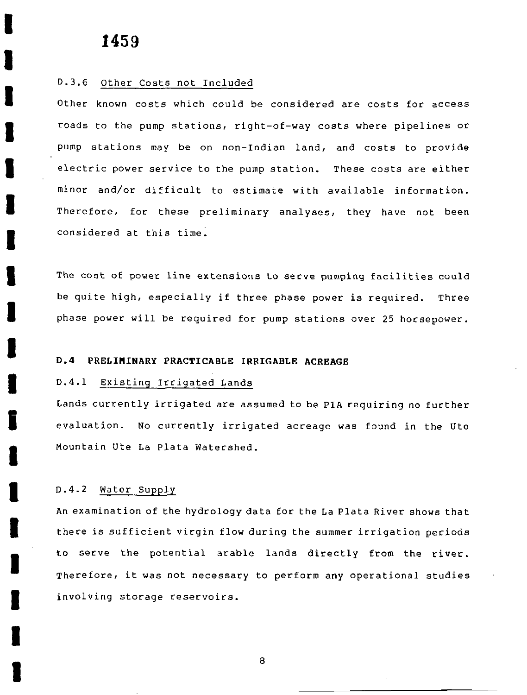I

I

I

I

I

I

I

I

I

I

I

I

I

I

I

I

I

I

I

### D.3.6 Other Costs not Included

Other known costs which could be considered are costs for access roads to the pump stations, right-of-way costs where pipelines or pump stations may be on non-Indian land, and costs to provide electric power service to the pump station. These costs are either minor and/or difficult to estimate with available information. Therefore, for these preliminary analyses, they have not been considered at this time

The cost of power line extensions to serve pumping facilities could be quite high, especially if three phase power is required. Three phase power will be required for pump stations over <sup>25</sup> horsepower

### <sup>D</sup> 4 PRELIMINARY PRACTICABLE IRRIGABLE ACREAGE

### D.4.1 Existing Irrigated Lands

Lands currently irrigated are assumed to be PIA requiring no further evaluation. No currently irrigated acreage was found in the Ute Mountain Ute La Plata Watershed

### D.4.2 Water Supply

An examination of the hydrology data for the La Plata River shows that there is sufficient virgin flow during the summer irrigation periods to serve the potential arable lands directly from the river Therefore, it was not necessary to perform any operational studies involving storage reservoirs

B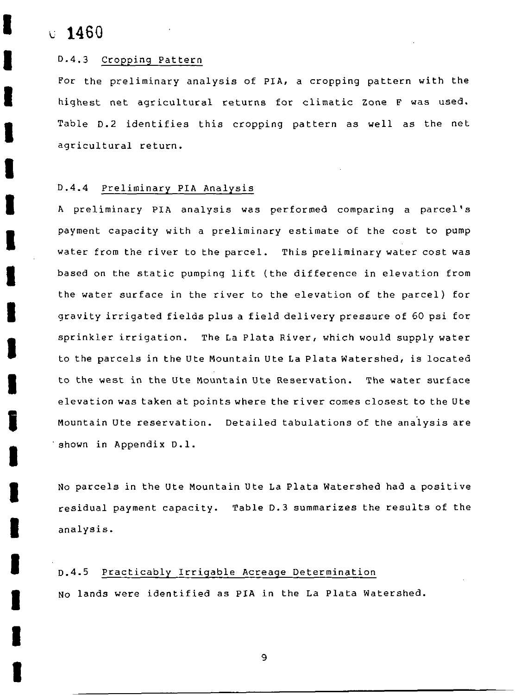$0.1460$ 

I

I

I

I

I

I

I

I

I

I

I

I

I

I

I

I

I

I

I

### D.4.3 Cropping Pattern

For the preliminary analysis of PIA, a cropping pattern with the highest net agricultural returns for climatic Zone <sup>F</sup> was used Table D.2 identifies this cropping pattern as well as the net agricultural return

### D.4.4 Preliminary PIA Analysis

<sup>A</sup> preliminary PIA analysis was performed comparing <sup>a</sup> parcel <sup>s</sup> payment capacity with <sup>a</sup> preliminary estimate of the cost to pump water from the river to the parcel. This preliminary water cost was based on the static pumping lift (the difference in elevation from the water surface in the river to the elevation of the parcel) for gravity irrigated fields plus <sup>a</sup> field delivery pressure of <sup>60</sup> psi for sprinkler irrigation. The La Plata River, which would supply water to the parcels in the Ute Mountain Ute La Plata Watershed, is located to the west in the Ute Mountain Ute Reservation. The water surface elevation was taken at points where the river comes closest to the Ute Mountain Ute reservation. Detailed tabulations of the analysis are shown in Appendix D.1.

No parcels in the Ute Mountain Ute La Plata Watershed had <sup>a</sup> positive residual payment capacity. Table D.3 summarizes the results of the analysis

### <sup>0</sup> <sup>4</sup> <sup>5</sup> Practicably Irrigable Acreage Determination

No lands were identified as PIA in the La Plata Watershed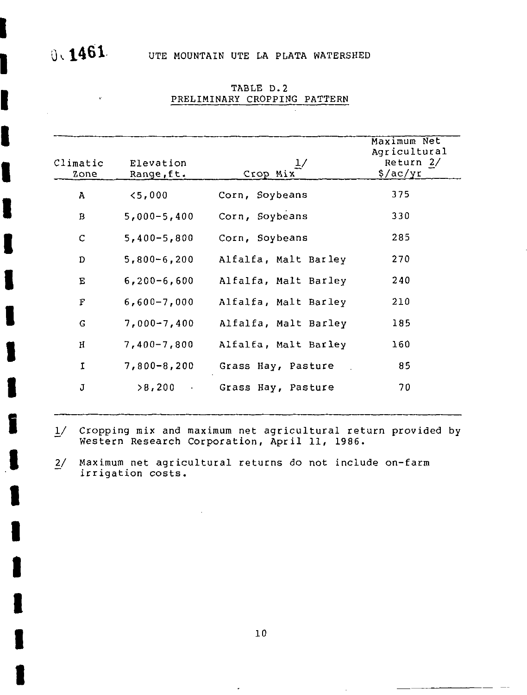$\mathbf{r}$ 

I

I

I

I

I

I

I

I

I

I

I

I

I

I

I

I

I

I

I

| Climatic<br>Zone | Elevation<br>Range, ft. | 1/<br>Crop Mix       | Maximum Net<br>Agricultural<br>Return 2/<br>$\sqrt{ac/yr}$ |
|------------------|-------------------------|----------------------|------------------------------------------------------------|
| $\overline{A}$   | $5,000$                 | Corn, Soybeans       | 375                                                        |
| $\mathbf{B}$     | $5,000 - 5,400$         | Corn, Soybeans       | 330                                                        |
| C                | $5,400 - 5,800$         | Corn, Soybeans       | 285                                                        |
| D                | $5,800 - 6,200$         | Alfalfa, Malt Barley | 270                                                        |
| E.               | $6,200 - 6,600$         | Alfalfa, Malt Barley | 240                                                        |
| F                | $6,600 - 7,000$         | Alfalfa, Malt Barley | 210                                                        |
| G                | $7,000 - 7,400$         | Alfalfa, Malt Barley | 185                                                        |
| H                | $7,400 - 7,800$         | Alfalfa, Malt Barley | 160                                                        |
| $\mathbf I$      | $7,800 - 8,200$         | Grass Hay, Pasture   | 85                                                         |
| J                | >8,200                  | Grass Hay, Pasture   | 70                                                         |

TABLE D.2 PRELIMINARY CROPPING PATTERN

1/ Cropping mix and maximum net agricultural return provided by Western Research Corporation, April 11, 1986

Maximum net agricultural returns do not include on-farm  $\frac{2}{ }$ irrigation costs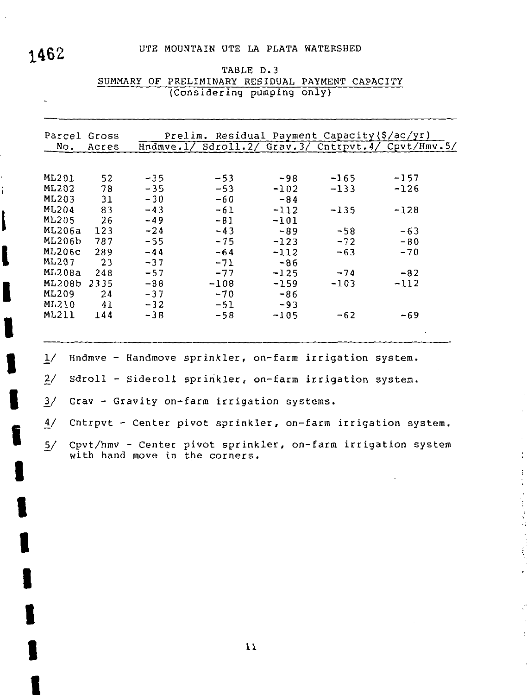# 1462 UTE MOUNTAIN UTE LA PLATA WATERSHED

l

 $\mathbf{i}$ 

I

I

I

I

I

I

I

I

I

I

I

I

I

|               |       |       | (Considering pumping only)                              |        |        |                                                              |
|---------------|-------|-------|---------------------------------------------------------|--------|--------|--------------------------------------------------------------|
| Parcel Gross  |       |       | Prelim. Residual Payment Capacity (\$/ac/yr)            |        |        |                                                              |
| No.           | Acres |       |                                                         |        |        | Hndmve.1/ Sdroll.2/ Grav.3/ Cntrpvt.4/ Cpvt/Hmv.5/           |
|               |       |       |                                                         |        |        |                                                              |
| ML201         | 52    | $-35$ | $-53$                                                   | -98    | $-165$ | $-157$                                                       |
| <b>ML202</b>  | 78    | $-35$ | $-53$                                                   | $-102$ | $-133$ | $-126$                                                       |
| ML203         | 31    | $-30$ | $-60$                                                   | $-84$  |        |                                                              |
| <b>ML204</b>  | 83    | $-43$ | $-61$                                                   | $-112$ | $-135$ | $-128$                                                       |
| <b>ML205</b>  | 26    | $-49$ | $-81$                                                   | $-101$ |        |                                                              |
| ML206a        | 123   | $-24$ | $-43$                                                   | $-89$  | $-58$  | $-63$                                                        |
| ML206b        | 787   | $-55$ | $-75$                                                   | $-123$ | $-72$  | $-80$                                                        |
| <b>ML206c</b> | 289   | $-44$ | $-64$                                                   | $-112$ | $-63$  | $-70$                                                        |
| ML207         | 23    | $-37$ | $-71$                                                   | $-86$  |        |                                                              |
| ML208a        | 248   | $-57$ | $-77$                                                   | $-125$ | $-74$  | $-82$                                                        |
| ML208b 2335   |       | $-88$ | $-108$                                                  | $-159$ | $-103$ | $-112$                                                       |
| ML209         | 24    | $-37$ | $-70$                                                   | $-86$  |        |                                                              |
| <b>ML210</b>  | 41    | $-32$ | $-51$                                                   | $-93$  |        |                                                              |
| <b>ML211</b>  | 144   | $-38$ | $-58$                                                   | $-105$ | $-62$  | $-69$                                                        |
|               |       |       |                                                         |        |        |                                                              |
| $\frac{1}{2}$ |       |       | Hndmve - Handmove sprinkler, on-farm irrigation system. |        |        |                                                              |
| $\frac{2}{ }$ |       |       | Sdroll - Sideroll sprinkler, on-farm irrigation system. |        |        |                                                              |
| $\frac{3}{2}$ |       |       | Grav - Gravity on-farm irrigation systems.              |        |        |                                                              |
| 4/            |       |       |                                                         |        |        | Cntrpvt - Center pivot sprinkler, on-farm irrigation system. |
| $\frac{5}{ }$ |       |       | with hand move in the corners.                          |        |        | Cpvt/hmv - Center pivot sprinkler, on-farm irrigation system |

÷

É,

TABLE D.3 SUMMARY OF PRELIMINARY RESIDUAL PAYMENT CAPACITY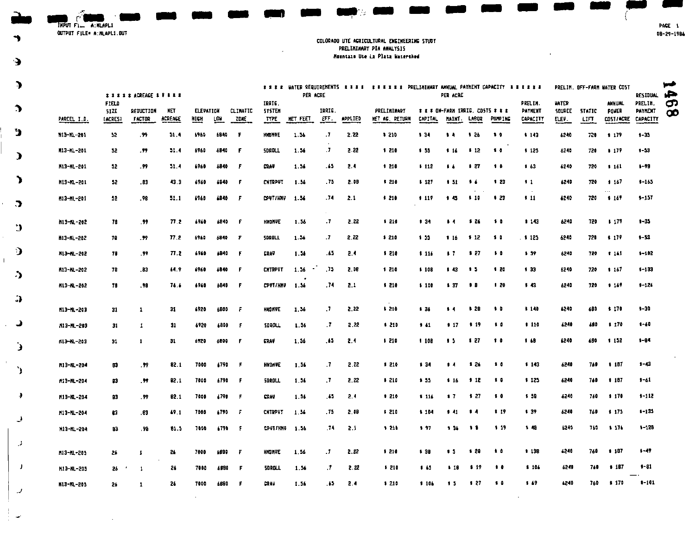$\overline{IMPUT}$   $F1 = A:MLAPLI$ 

↰

 $\cdot$ 

 $\mathcal{L}^{\pm}$ 

 $\bar{1}$ 

#### COLORADO UTE AGRICULTURAL ENGINEERING STUDY PRELIMINARY PIA ANALYSIS Hountain Ute La Plata Watershed

| $\bullet$      |             |               | <b><i>xxxxxACREACE ******</i></b> |                       |           |            |          |                         | PER ACRE      |                |                | **** UATER REQUIREMENTS **** ***** PRELIMINARY ANNUAL PAYMENT CAPACITY ****** |          | PER ACRE       |              |                                                    |                    |              |               | PRELIH OFF-FARM WATER COST | RESIDUAL                  | خسوا<br>ھر      |
|----------------|-------------|---------------|-----------------------------------|-----------------------|-----------|------------|----------|-------------------------|---------------|----------------|----------------|-------------------------------------------------------------------------------|----------|----------------|--------------|----------------------------------------------------|--------------------|--------------|---------------|----------------------------|---------------------------|-----------------|
| $\rightarrow$  |             | FIELD<br>51ZE | <b>REDUCTION</b>                  | <b>NET</b><br>ACREACE | ELEVATION |            | CLIMATIC | IRAIG.<br><b>SYSTEM</b> | NET FEET      | IRRIG.<br>EFF. | <b>APPLIED</b> | PRELIMINARY<br><b>WET AC. RETURN</b>                                          | CAPITAL  |                | <b>LAB02</b> | I I I ON-FARM IRRIG. COSTS I I E<br><b>PUMPING</b> | PRELIN.<br>PAYNENT | <b>HATER</b> | SQUACE STATIC | ANNUAL<br>POWER            | PAELIN.<br><b>PAYRENT</b> | ငှာ<br>$\infty$ |
|                | PARCEL I.D. | (ACRES)       | <b>FACTOR</b>                     |                       | HICH      | <b>LCU</b> | ZDAE     | TYPE.                   |               |                |                |                                                                               |          | MAINT.         |              |                                                    | CAPACITY           | ELEV.        | LIFT          | COST/ACRE                  | CAPACITY                  |                 |
| э              | M13-NL-201  | 52            | .99                               | $-1.1$                | 6960      | 1841       | F        | <b>HIDNOE</b>           | 1.36          | -7             | 2.22           | 1210                                                                          | $3 - 34$ | $\sqrt{2}$     | 5.26         | $\bullet$                                          | 143                | 62.40        | 720           | 1.179                      | $1 - 33$                  |                 |
| $\mathcal{L}$  | M13-NL-201  | 52.           | .99                               | 51.4                  | 5960      | 6840       | f.       | <b>SDRDLL</b>           | 1.56          | -7             | 2.22           | \$210                                                                         | 5.55     | - 14           | 12           | $\bullet$                                          | 125                | 6240         | 720           | 0.177                      | $1 - 5.3$                 |                 |
|                | M13-ML-201  | 52.           | .99                               | 51.4                  | 6960      | 6840       | F        | <b>CRAV</b>             | 1.56          | . 65           | 2.4            | 1210                                                                          | .112     | $\bullet$      | $\sqrt{27}$  | $\bullet$                                          | 5.63               | 6240         | 720           | 5 161                      | $1 - 70$                  |                 |
| 7              | M13-ML-201  | 52            | .83                               | 43.3                  | 6960      | 6940       | F        | <b>CNTRPUT</b>          | 1.36          | - 75           | 2.08           | \$210                                                                         | 1 127    | 1.51           | - 14         | 123                                                | 11                 | 6240         | 720           | 147<br>$\cdots$            | $1 - 165$                 |                 |
| $\bullet$      | H13-HL-201  | 52            | . 98                              | 31.1                  | 6960      | 6840       | F        | CPUT/HMV 1.56           |               | -74            | 2.1            | \$210                                                                         | 117      | 1.45           | 110          | -1-23                                              | 511                | 6240         | 720           | - 1167                     | $3 - 157$                 |                 |
|                | M13-AL-202  | 78            | .99                               | 77 Z                  | 6960      | 6840       | F.       | HMDNAE                  | 1 56          | $\cdot$        | 2.22           | \$210                                                                         | 131      | $\sqrt{4}$     | - 124        | - 10                                               | 113                | 6240         | 720           | 1177                       | $1 - 35$                  |                 |
| $\cdot$        | N13-KL-202  | 78            | .99                               | 77.2                  | 6960      | 6840       | ÷.       | SOODLL                  | 1 36          | $\cdot$        | 2.22           | 1210                                                                          | 4.55     | 116            | 12           | - 51 0                                             | . 1 125            | 6240         | 720           | \$ 179                     | $1 - 53$                  |                 |
| $\mathbf{D}$   | N13-NL-202  | 78            | .99                               | 77. Z                 | 6960      | 6840       | F        | <b>ERAU</b>             | 1 56          | .65            | 2.4            | \$210                                                                         | 116      | $\bullet$ 7    | - 127        | $\sqrt{2}$                                         | \$ 59              | 6240         | 720           | 1.61                       | $1 - 102$                 |                 |
| $\cdot$        | M13-ML-202  | 78            | .83                               | 44 P                  | 4960      | 6840       | F        | <b>CHTRPUT</b>          | 1 56          | -75            | 2.08           | \$210                                                                         | 1108     | 143            | - 15         | \$20                                               | \$ 33.             | 6240         | 720           | \$167                      | $1 - 133$                 |                 |
|                | K13-KL-202  | 78            | . 99                              | 76.6                  | 4960      | 5840       | F        | <b>CPUT/HNV</b>         | 1.56          | .74            | 2.1            | 1 210                                                                         | 1100     | 37             | $\bullet$    | 1,20                                               | \$43               | 4240         | 720           | \$169                      | $1 - 126$                 |                 |
| $\cdot$        |             |               |                                   |                       |           |            |          |                         |               |                |                |                                                                               |          |                |              |                                                    |                    |              |               |                            |                           |                 |
|                | M13-ML-203  | 31            | 1                                 | 31                    | 6920      | 6800       | F        | HIQINVE                 | 1 56          | $\cdot$        | 2.22           | 1210                                                                          | 8.36     | $\bullet$      | \$28         | $\bullet$                                          | \$140              | 6240         | 680           | 1.70                       | $3 - 30$                  |                 |
| د              | A13-ML-203  | 31            | 1                                 | 31                    | 4920      | 4800       | F        | <b>SOROLL</b>           | 1 56          | $\cdot$        | 2.22           | 6210                                                                          | 141      | 917            | <b>1</b> 19  | $\cdots$                                           | 110                | 6240         | 680           | 8.170                      | $1 - 60$                  |                 |
| Ć              | H13-HL-203  | 31            | $\mathbf{1}$                      | 31                    | 6920      | 6800       | F        | <b>CRAY</b>             | 1.56          | .65            | -2.4           | \$210                                                                         | 1 108    | - 15           | - 127        | $\sqrt{2}$                                         | 1.48               | 6240         | 680           | \$152                      | $5 - 0.4$                 |                 |
| ٠,             | M13-ML-204  | 63            | . 99                              | 82.1                  | 7000      | 6790       | F        | <b>HNDMAE</b>           | 1.56          | $\cdot$ .7     | 2.22           | \$210                                                                         | 134      | 14             | \$24         | $\bullet$                                          | 143                | 6240         | 760           | 1.107                      | $1 - 4.3$                 |                 |
|                | A13-AL-204  | B             | .99                               | 82.1                  | 7000      | 6790       | F.       | 50RDLL                  | 1.56          | $\cdot$        | 2.22           | 1210                                                                          | 5.55     | \$16           | - 12         | $\bullet$                                          | 123                | 6240         | 760           | 1 187                      | $1 - 61$                  |                 |
| €              | M13-ML-204  | 83            | .99                               | 82.1                  | 7000      | 6790       | F        | <b>CRAV</b>             | 1.36          | . 65           | 2.4            | 1210                                                                          | 116      | 57             | \$27         | $\sqrt{2}$                                         | 5.58               | 6240         | 760           | \$170                      | $1 - 112$                 |                 |
|                | H13-HL-204  | 83            | . 63                              | 49.1                  | 7000      | 6790       | Æ        | <b>CHTRPVT</b>          | 1.56          | . 75           | 2.00           | 1210                                                                          | \$104    | $1 - 41$       | -14          | 119                                                | 1 39               | $6 - 40$     | 760           | 17.                        | $1 - 135$                 |                 |
| لي             | H13-H1-204  | 83            | . 99                              | 81.5                  | 7806      | - 190      | -F       |                         | CPV17HHV 1.56 | ,74            | -2.1           | \$210                                                                         | 1.97     | 136            | - 11         | 119                                                | $1 - 48$           | 6240         | 760.          | \$176                      | $1 - 128$                 |                 |
| J              |             |               |                                   |                       |           |            |          |                         |               |                |                |                                                                               |          |                |              | . .                                                | 113B               | 6240         | 760           | \$187                      | $1 - 47$                  |                 |
|                | M13-NL-205  | 26            | 1                                 | 24                    | 7000      | 6880       | Ŧ        | HNDHVE                  | 1.56          | $\cdot$        | 2.22           | 1210                                                                          | \$38     | <b>15</b>      | - 1 20       |                                                    |                    |              |               |                            |                           |                 |
| - 1            | H13-HL-205  | 26            | $\mathbf{1}$                      | 26                    | 7000      | 4880       | -F       | <b>SDROLL</b>           | 1.54          | .1             | 2.22           | 1210                                                                          | 141      | $\blacksquare$ | \$19         | $\bullet$                                          | \$106              | 6240         | 760           | 1 187                      | $1 - 81$                  |                 |
| $\overline{ }$ | K13-ML-205  | 24            | 1                                 | 26                    | 7000      | 6880       | F        | ERAU                    | 1 56          | -65            | 2.4            | 3210                                                                          | 116      | $\mathbf{1}$   | \$ 27        | $\bullet$                                          | 147                | 6240         | 760           | \$170                      | $1 - 101$                 |                 |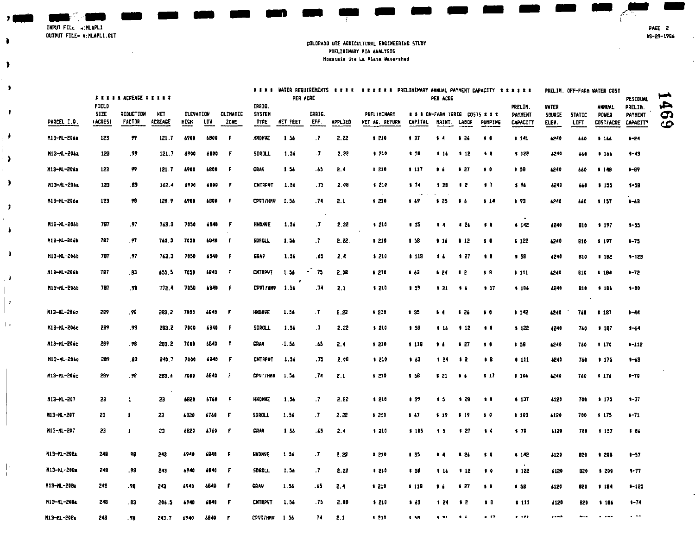INPUT FILE WINLAPLI OUTPUT FILE= A: MLAPL1.OUT

 $\mathcal{L}$ 

 $\bullet$ 

 $\bullet$ 

 $\bullet$ 

 $\ddot{\phantom{1}}$ 

 $\bullet$ 

 $\lambda$ 

 $\rightarrow$ 

 $\cdot$ 

 $\lambda$ 

 $\mathbf{r}$ 

 $\Delta$ 

 $\bullet$ 

 $\|\cdot\|$ 

 $\overline{1}$ 

#### COLORADO UTE ACRICULTURAL ENGINEERING STUDY PRELIMINARY PIA ANALYSIS Monntain Ute La Plata Matershed

|                    | <b>FRIII ACREAGE FRIIE</b>             |                                   |               |                          |       |                                | PER ACRE                               |          |               | XXXX WATER REGUIRENENTS KXXX XXXXXX PRELIMIMARY AMMUAL PATMENT CAPACITY XXXXX<br>PER ACRE |                                      |                                                    |                 |             |                | PRELIM. OFF-FARM WATER COST           |                          |                       | <b><i>RESIDUAL</i></b>                     | ⊷                              |               |
|--------------------|----------------------------------------|-----------------------------------|---------------|--------------------------|-------|--------------------------------|----------------------------------------|----------|---------------|-------------------------------------------------------------------------------------------|--------------------------------------|----------------------------------------------------|-----------------|-------------|----------------|---------------------------------------|--------------------------|-----------------------|--------------------------------------------|--------------------------------|---------------|
| PARCEL I D.        | <b>FIELD</b><br><b>SIZE</b><br>(ACRES) | <b>REDUCTION</b><br><b>FACTOR</b> | NП<br>ACREACE | <b>ELEVATION</b><br>HICH | LDV.  | <b>CLIMATIC</b><br><b>20NE</b> | TPHIC.<br><b>SYSTEM</b><br><b>TYPE</b> | NET FEET | IANIC.<br>EFF | <b>APPLIED</b>                                                                            | <b>PRELIMINARY</b><br>NET AG. RETURN | # # # ON-FARM IRRIC, COSTS # # #<br><b>CAPITAL</b> |                 | MAINT LABOR | <b>PUMPING</b> | PRELIN.<br><b>PAYNENT</b><br>CAPACITY | VATER<br>SOURCE<br>ELEV. | <b>STATIC</b><br>LIFT | <b>ANNUAL</b><br>POVER<br><b>COST/ACRE</b> | PRELIN.<br>PAYNENT<br>CAPACITY | عر<br>G<br>cc |
| M13-ML-206a        | 123                                    | -99                               | 121 7         | 6900                     | 6800  | -F                             | <b>HNDNVE</b>                          | 1.56     | $\cdot$       | 2, 22                                                                                     | 1 210                                | 1.37                                               | $\sqrt{4}$      | 126         | $\cdots$       | 1.11                                  | 6240                     | 660                   | \$166                                      | $1 - 24$                       |               |
| K13-KL-206a        | 123                                    | .99                               | 121.7         | 4900                     | 6800  | F                              | 500011                                 | 1.56     | $\cdot$ .7    | 2.22                                                                                      | 1.210                                | 1 50                                               | 1.16            | \$12        | $\bullet$      | \$122                                 | 4240                     | 440                   | 1166                                       | $1 - 43$                       |               |
| M13-ML-206a        | 123                                    | . 99                              | 121 7         | 6900                     | 6800  | -F                             | CRAU                                   | 1.56     | -65           | 2.4                                                                                       | 1210                                 | 117                                                | 16              | 127         | $\bullet$      | 15B                                   | 6240                     | 660                   | \$149                                      | $1 - B$                        |               |
| M13-ML-206a        | 123                                    | . B3                              | 102.4         | 6900                     | 4300  | - F                            | <b>CNTRPUT</b>                         | 1.56     | -75           | 2.08                                                                                      | \$210                                | 174                                                | \$28            | - 12        | 17             | 1.96                                  | 6240                     | 640                   | 5155                                       | $1 - 50$                       |               |
| M13-ML-206a        | 123                                    | .98                               | 120.9         | 6700                     | 4800  | F                              | CPVT/HNV 1.56                          |          | .74           | 2.1                                                                                       | \$210                                | <b>B</b> 69                                        | \$25.           | . .         | 14             | 1.93                                  | 6240                     | 660                   | \$157                                      | $1 - 63$                       |               |
|                    |                                        |                                   |               |                          |       |                                |                                        |          |               |                                                                                           |                                      |                                                    |                 |             |                |                                       |                          |                       |                                            |                                |               |
| М13-IL-206b        | 767                                    | -97                               | 763.3         | 7050                     | 6840  | F                              | <b>HNDNAE</b>                          | 1.56     | $\cdot$ 7     | 2.22                                                                                      | 5.210                                | 135                                                | 14              | 126         | $\cdots$       | 112                                   | 6240                     | 810                   | \$197                                      | $1 - 5 -$                      |               |
| M13-ML-2046        | 787                                    | . 97                              | 743.3         | 7050                     | 6340  | -F.                            | <b>SDROLL</b>                          | 1.56     | -7            | 2.22.                                                                                     | \$210                                | 1 58                                               | 114             | 112         | $\cdots$       | 1 122                                 | 6240                     | 810                   | \$197                                      | $1 - 75$                       |               |
| M13-ML-206b        | 797                                    | .77                               | 763.3         | 7050                     | 6040  | F.                             | <b>GRAV</b>                            | 1.56     | -65           | 2.4                                                                                       | \$210                                | 1 113                                              | 16              | 127         | $\bullet$      | 5.58                                  | 5540                     | 810                   | 11B2                                       | $1 - 123$                      |               |
| M13-ML-206b        | 787                                    | .83                               | 655.5         | 7050                     | 6840  | -F                             | <b>CATAPUT</b>                         | 1.56     | .75           | 2.08                                                                                      | \$210                                | 1.43                                               | 3.24            | 12          | 58             | 111                                   | 4240                     | 810                   | 1104                                       | $1 - 72$                       |               |
| M13-NL-206b        | 787                                    | .98                               | 772.4         | 7050                     | 4940  | -F                             | CPVT I HMV                             | - 1.56   | -74           | 2.1                                                                                       | \$210                                | 1.37                                               | 121             | $\cdots$    | 17             | 111.                                  | 4540                     | 810                   | \$106                                      | $1 - B0$                       |               |
| M13-KL-206c        | 289                                    | .98                               | 283.2         | 7000                     | 6840  | -F                             | <b>HNDHVE</b>                          | 1.56     | ٠T            | 2.22                                                                                      | \$210                                | 135                                                | 14              | 126         | $\bullet$      | \$142                                 | 6240                     | 760                   | \$187                                      | $1 - 44$                       |               |
| M13-ML-206c        | 289                                    | - 98                              | 283.2         | 7000                     | 6840  | F                              | SDROLL.                                | 1.56     | $\cdot$       | 2.22                                                                                      | \$210                                | 1.58                                               | 116             | 112         | $\bullet$      | 1122                                  | 6240                     | 760                   | 1107                                       | $1 - 64$                       |               |
| M13-ML-206c        | 289                                    | - 98                              | 283.2         | 7000                     | 6540  | -F                             | CRAV                                   | 1.56     | -65           | 2.4                                                                                       | \$210                                | \$118                                              | 14              | 127         | $\bullet$      | 1.58                                  | 6240                     | 760                   | \$170                                      | $1 - 112$                      |               |
| M13-ML-206c        | 289                                    | 83                                | 240 T         | 7000                     | 6840  | F                              | <b>CATRPUT</b>                         | 1.56     | -75           | 2.08                                                                                      | \$210                                | \$ 63                                              | - 124           | - 12        | 58             | 111                                   | 4240                     | 740                   | \$175                                      | $+13$                          |               |
| M13-ML-206c        | 299                                    | -98                               | 283.6         | 7000                     | 6840  | - F                            | CPUT/HNV 1.54                          |          | -74           | 2.1                                                                                       | \$210                                | 1 58                                               | 121             | $\bullet$   | 517            | 1 104                                 | 6240                     | 760                   | \$174                                      | $1 - 70$                       |               |
|                    |                                        |                                   |               |                          |       |                                |                                        |          |               |                                                                                           |                                      |                                                    |                 |             |                |                                       |                          |                       |                                            |                                |               |
| M13-ML-207         | 23                                     | $\mathbf{1}$                      | 23            | 6820                     | 6760  | - F                            | HNDNAE                                 | 1.56     | .7            | 2.22                                                                                      | 1 210                                | 137                                                | 1.5             | 1,20        | $\bullet$      | 4.137                                 | 4120                     | 700                   | 9175                                       | $1 - 37$                       |               |
| M13-ML-207         | 23                                     | $\mathbf{I}$                      | 23            | 6820                     | 6760  | F                              | <b>SDROLL</b>                          | 1.54     | $\cdot$ 7     | 2.22                                                                                      | \$210                                | $5-67$                                             | \$19            | \$19        | $\bullet$      | 1 10 3                                | 4120                     | 700                   | \$175                                      | $1 - 71$                       |               |
| M13-ML-207         | 23                                     | $\mathbf{1}$                      | 23            | 6820                     | 6760  | - F                            | CRAV                                   | 1.56     | -65           | 2.4                                                                                       | \$210                                | \$105                                              | $5-5$           | 127         | $\cdots$       | 170                                   | 6120                     | 700                   | 1 157                                      | $1 - 84$                       |               |
|                    |                                        |                                   |               |                          |       |                                |                                        |          |               |                                                                                           |                                      |                                                    |                 |             |                |                                       |                          |                       |                                            |                                |               |
| <b>M13-ML-2004</b> | 248                                    | . 98                              | 243           | 6940                     | 6840  | - F                            | <b>HNDAVE</b>                          | 1.54     | . 7           | 2.22                                                                                      | \$210                                | 135                                                | $5-4$           | 120         | $\cdots$       | 1 142                                 | 6120                     | 820                   | <b>1 500</b>                               | $1 - 57$                       |               |
| M13-NL-208a        | 248                                    | . 98                              | 243           | 6940                     | 6640  | F                              | SDROLL                                 | 1.54     | .7            | 2.22                                                                                      | 1210                                 | 1.30                                               | \$14            | 112         | $\bullet$      | 1122                                  | 6120                     | 820                   | \$200                                      | $1 - 77$                       |               |
| M13-ML-208a        | 248                                    | . 98                              | 243           | 6940                     | 6840  | -F                             | CRAV                                   | 1.56     | . 65          | 24                                                                                        | 8210                                 | \$118                                              | 16              | 127         | $\bullet$      | 1 58                                  | 6120                     | 820                   | 1184                                       | $1 - 125$                      |               |
| H13-HL-208a        | 248                                    | . 63                              | 206.5         | 4940                     | 6840  | -F                             | <b>CATRPUT</b>                         | 1.56     | - 75          | 2.08                                                                                      | 1210                                 | 1.63                                               | 124             | - 12        | 3 B            | \$111                                 | 4120                     | B20                   | \$184                                      | $1 - 74$                       |               |
| H13-10-20Rs        | 242                                    | on.                               | 242.7         | 4940                     | 48.80 | - F                            | COUT/HNU 1.54                          |          | 74.           | 21                                                                                        | \$210.                               | 4.58.                                              | $-4$ , $-2$ $+$ | $-1$        | $-17$          | 1.101                                 | 14.55                    |                       | $\sim$ $\sim$ $\sim$                       | $\sim$ $\sim$                  |               |

PACE 2 08-29-1986

Ŧ